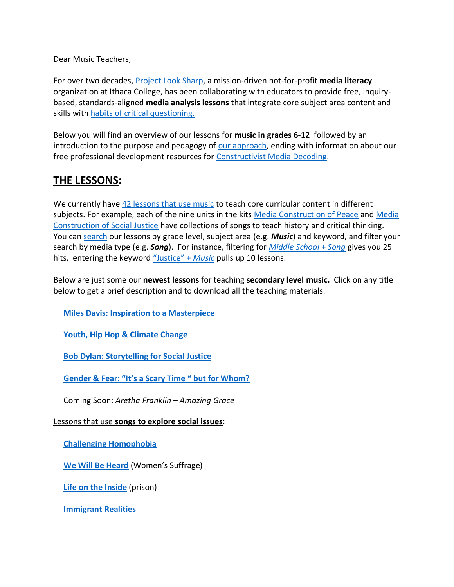Dear Music Teachers,

For over two decades, [Project Look Sharp,](https://www.projectlooksharp.org/) a mission-driven not-for-profit **media literacy** organization at Ithaca College, has been collaborating with educators to provide free, inquirybased, standards-aligned **media analysis lessons** that integrate core subject area content and skills with [habits of critical questioning.](https://projectlooksharp.org/Resources%202/Key-Questions-for-Decoding%20Dec-21.pdf)

Below you will find an overview of our lessons for **music in grades 6-12** followed by an introduction to the purpose and pedagogy of [our approach,](https://projectlooksharp.org/our-approach.php) ending with information about our free professional development resources for [Constructivist Media Decoding.](https://projectlooksharp.org/our-approach.php#Constructivist)

# **THE LESSONS:**

We currently have [42 lessons that use music](https://projectlooksharp.org/search-result.php?limit=10&search%5Bkeyword%5D=&search%5Bcategory%5D=all&search_filter%5Bresource_subject_area%5D%5B%5D=music) to teach core curricular content in different subjects. For example, each of the nine units in the kits [Media Construction of Peace](https://projectlooksharp.org/front_end.php?kit_id=6) and [Media](https://projectlooksharp.org/front_end.php?kit_id=7)  [Construction of Social Justice](https://projectlooksharp.org/front_end.php?kit_id=7) have collections of songs to teach history and critical thinking. You can [search](https://projectlooksharp.org/search-result.php?search%5Bcategory%5D=all&search%5Bkeyword%5D=&search_filter%5Bresource_subject_area%5D%5B%5D=&search_filter%5Bresource_grade_level%5D%5B%5D=) our lessons by grade level, subject area (e.g. *Music*) and keyword, and filter your search by media type (e.g. *Song*). For instance, filtering for *[Middle School](https://projectlooksharp.org/search-result.php?limit=10&search%5Bkeyword%5D=&search%5Bcategory%5D=all&search_filter%5Bresource_subject_area%5D%5B%5D=music&search_filter%5Bresource_grade_level%5D%5B%5D=high+school)* + *Song* gives you 25 hits, entering the keyword ["Justice"](https://projectlooksharp.org/search-result.php?limit=10&search%5Bkeyword%5D=Justice&search%5Bcategory%5D=lessons&search_filter%5Bresource_subject_area%5D%5B%5D=music) + *Music* pulls up 10 lessons.

Below are just some our **newest lessons** for teaching **secondary level music.** Click on any title below to get a brief description and to download all the teaching materials.

 **Miles Davis: Inspiration to a [Masterpiece](https://projectlooksharp.org/front_end_resource.php?resource_id=559)**

 **Youth, Hip Hop & [Climate](https://projectlooksharp.org/front_end_resource.php?resource_id=425) Change**

 **Bob Dylan: [Storytelling](https://projectlooksharp.org/front_end_resource.php?resource_id=552) for Social Justice**

 **[Gender](https://projectlooksharp.org/front_end_resource.php?resource_id=445) & Fear: "It's a Scary Time " but for Whom?**

Coming Soon: *Aretha Franklin – Amazing Grace*

Lessons that use **songs to explore social issues**:

 **Challenging [Homophobia](https://projectlooksharp.org/front_end_resource.php?resource_id=158)**

 **We Will Be [Heard](https://projectlooksharp.org/front_end_resource.php?resource_id=139)** (Women's Suffrage)

 **Life on the [Inside](https://projectlooksharp.org/front_end_resource.php?resource_id=161)** (prison)

 **[Immigrant](https://projectlooksharp.org/front_end_resource.php?resource_id=155) Realities**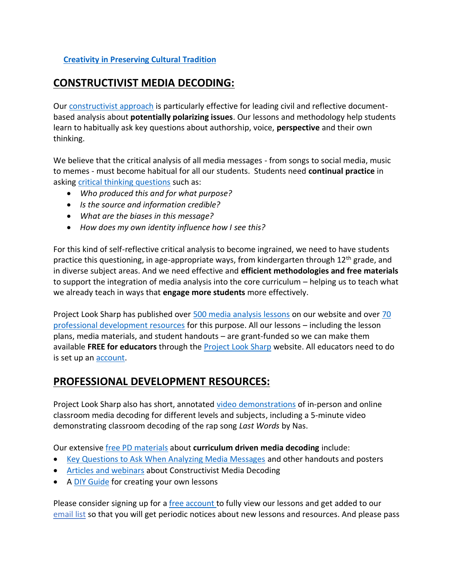### **Creativity in [Preserving](https://projectlooksharp.org/front_end_resource.php?resource_id=266) Cultural Tradition**

## **CONSTRUCTIVIST MEDIA DECODING:**

Our [constructivist approach](https://projectlooksharp.org/our-approach.php) is particularly effective for leading civil and reflective documentbased analysis about **potentially polarizing issues**. Our lessons and methodology help students learn to habitually ask key questions about authorship, voice, **perspective** and their own thinking.

We believe that the critical analysis of all media messages - from songs to social media, music to memes - must become habitual for all our students. Students need **continual practice** in asking [critical thinking questions](https://projectlooksharp.org/Resources%202/Project%20Look%20Sharp%20Key%20Questions%20Both.pdf) such as:

- *Who produced this and for what purpose?*
- *Is the source and information credible?*
- *What are the biases in this message?*
- *How does my own identity influence how I see this?*

For this kind of self-reflective critical analysis to become ingrained, we need to have students practice this questioning, in age-appropriate ways, from kindergarten through  $12<sup>th</sup>$  grade, and in diverse subject areas. And we need effective and **efficient methodologies and free materials** to support the integration of media analysis into the core curriculum – helping us to teach what we already teach in ways that **engage more students** more effectively.

Project Look Sharp has published over [500 media analysis lessons](https://www.projectlooksharp.org/search-result.php?search%5Bkeyword%5D=&search%5Bcategory%5D=lessons) on our website and over [70](https://www.projectlooksharp.org/search-result.php?search%5Bkeyword%5D=&search%5Bcategory%5D=PD)  [professional development resources](https://www.projectlooksharp.org/search-result.php?search%5Bkeyword%5D=&search%5Bcategory%5D=PD) for this purpose. All our lessons – including the lesson plans, media materials, and student handouts – are grant-funded so we can make them available **FREE for educators** through the [Project Look Sharp](https://projectlooksharp.org/index.php) website. All educators need to do is set up a[n account.](https://projectlooksharp.org/register.php)

# **PROFESSIONAL DEVELOPMENT RESOURCES:**

Project Look Sharp also has short, annotated [video demonstrations](https://projectlooksharp.org/our-approach.php#videos) of in-person and online classroom media decoding for different levels and subjects, including a 5-minute video demonstrating classroom decoding of the rap song *Last Words* by Nas.

Our extensive [free PD materials](https://projectlooksharp.org/our-approach.php) about **curriculum driven media decoding** include:

- [Key Questions to Ask When Analyzing Media Messages](https://projectlooksharp.org/our-approach.php#handouts) and other handouts and posters
- [Articles and webinars](https://projectlooksharp.org/our-approach.php#articles) about Constructivist Media Decoding
- A [DIY Guide](https://projectlooksharp.org/?action=diy) for creating your own lessons

Please consider signing up for a [free account](https://projectlooksharp.org/register.php) to fully view our lessons and get added to our [email list](https://projectlooksharp.org/register.php) so that you will get periodic notices about new lessons and resources. And please pass